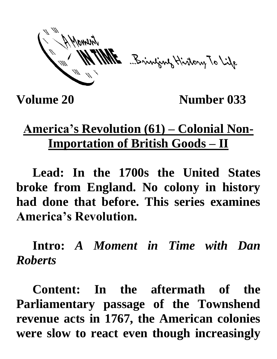ME Bringwy History To Life

**Volume 20 Number 033**

## **America's Revolution (61) – Colonial Non-Importation of British Goods – II**

**Lead: In the 1700s the United States broke from England. No colony in history had done that before. This series examines America's Revolution.**

**Intro:** *A Moment in Time with Dan Roberts*

**Content: In the aftermath of the Parliamentary passage of the Townshend revenue acts in 1767, the American colonies were slow to react even though increasingly**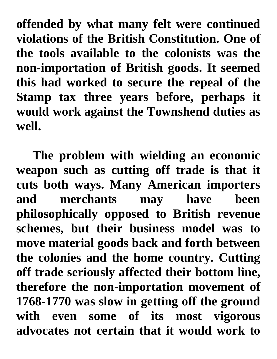**offended by what many felt were continued violations of the British Constitution. One of the tools available to the colonists was the non-importation of British goods. It seemed this had worked to secure the repeal of the Stamp tax three years before, perhaps it would work against the Townshend duties as well.** 

**The problem with wielding an economic weapon such as cutting off trade is that it cuts both ways. Many American importers and merchants may have been philosophically opposed to British revenue schemes, but their business model was to move material goods back and forth between the colonies and the home country. Cutting off trade seriously affected their bottom line, therefore the non-importation movement of 1768-1770 was slow in getting off the ground with even some of its most vigorous advocates not certain that it would work to**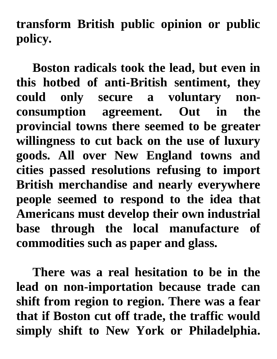**transform British public opinion or public policy.** 

**Boston radicals took the lead, but even in this hotbed of anti-British sentiment, they could only secure a voluntary nonconsumption agreement. Out in the provincial towns there seemed to be greater willingness to cut back on the use of luxury goods. All over New England towns and cities passed resolutions refusing to import British merchandise and nearly everywhere people seemed to respond to the idea that Americans must develop their own industrial base through the local manufacture of commodities such as paper and glass.**

**There was a real hesitation to be in the lead on non-importation because trade can shift from region to region. There was a fear that if Boston cut off trade, the traffic would simply shift to New York or Philadelphia.**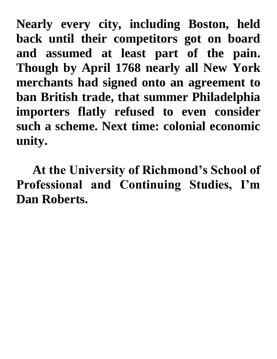**Nearly every city, including Boston, held back until their competitors got on board and assumed at least part of the pain. Though by April 1768 nearly all New York merchants had signed onto an agreement to ban British trade, that summer Philadelphia importers flatly refused to even consider such a scheme. Next time: colonial economic unity.**

**At the University of Richmond's School of Professional and Continuing Studies, I'm Dan Roberts.**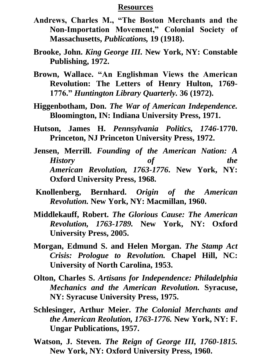## **Resources**

- **Andrews, Charles M., "The Boston Merchants and the Non-Importation Movement," Colonial Society of Massachusetts,** *Publications,* **19 (1918).**
- **Brooke, John.** *King George III.* **New York, NY: Constable Publishing, 1972.**
- **Brown, Wallace. "An Englishman Views the American Revolution: The Letters of Henry Hulton, 1769- 1776."** *Huntington Library Quarterly.* **36 (1972).**
- **Higgenbotham, Don.** *The War of American Independence.*  **Bloomington, IN: Indiana University Press, 1971.**
- **Hutson, James H.** *Pennsylvania Politics, 1746-***1770. Princeton, NJ Princeton University Press, 1972.**
- **Jensen, Merrill.** *Founding of the American Nation: A History of the American Revolution, 1763-1776***. New York, NY: Oxford University Press, 1968.**
- **Knollenberg, Bernhard.** *Origin of the American Revolution.* **New York, NY: Macmillan, 1960.**
- **Middlekauff, Robert.** *The Glorious Cause: The American Revolution, 1763-1789.* **New York, NY: Oxford University Press, 2005.**
- **Morgan, Edmund S. and Helen Morgan.** *The Stamp Act Crisis: Prologue to Revolution.* **Chapel Hill, NC: University of North Carolina, 1953.**
- **Olton, Charles S.** *Artisans for Independence: Philadelphia Mechanics and the American Revolution.* **Syracuse, NY: Syracuse University Press, 1975.**
- **Schlesinger, Arthur Meier.** *The Colonial Merchants and the American Reolution, 1763-1776.* **New York, NY: F. Ungar Publications, 1957.**
- **Watson, J. Steven.** *The Reign of George III, 1760-1815.*  **New York, NY: Oxford University Press, 1960.**